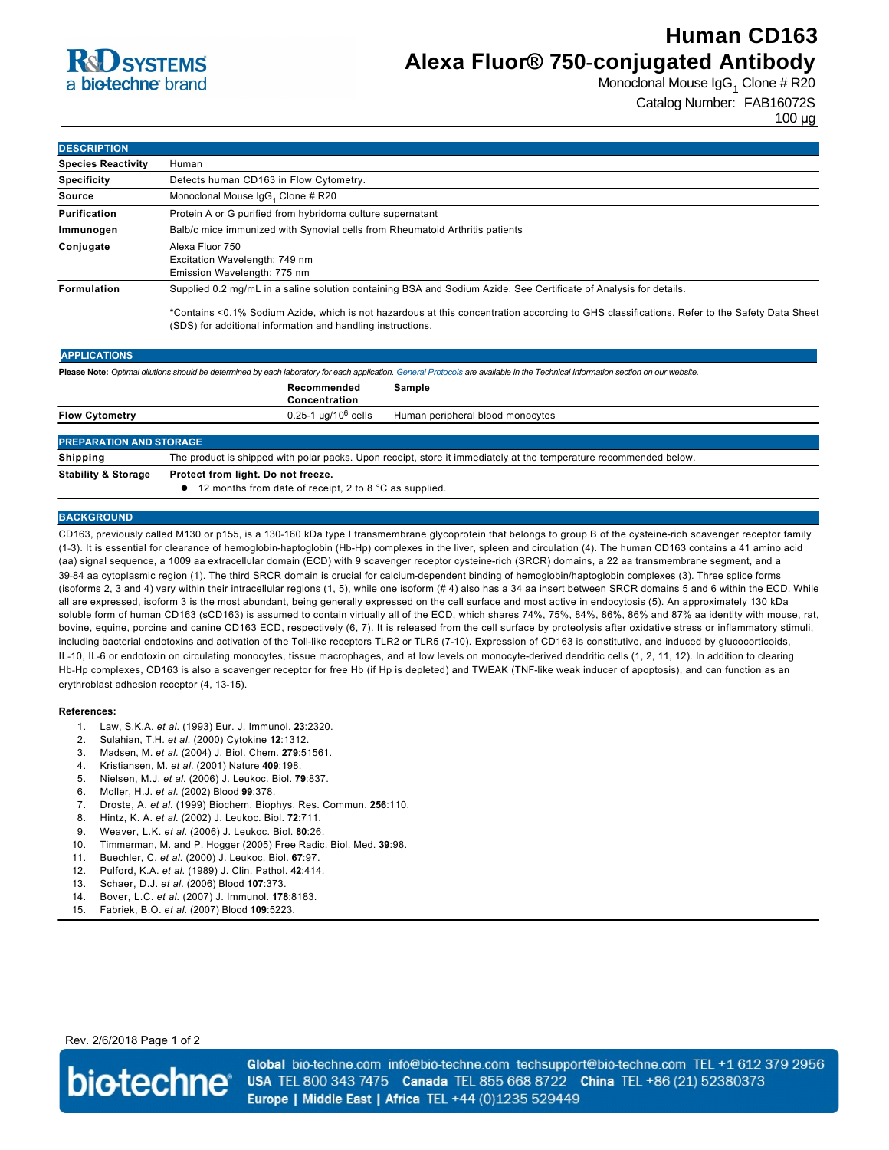# **R**d SYSTEMS a **bio-techne** brand

# **Human CD163 Alexa Fluor® 750-conjugated Antibody**

Monoclonal Mouse IgG<sub>1</sub> Clone # R20

Catalog Number: FAB16072S

100 µg

| <b>DESCRIPTION</b>        |                                                                                                                                                                                                                                                                                                                                 |  |  |
|---------------------------|---------------------------------------------------------------------------------------------------------------------------------------------------------------------------------------------------------------------------------------------------------------------------------------------------------------------------------|--|--|
| <b>Species Reactivity</b> | Human                                                                                                                                                                                                                                                                                                                           |  |  |
| <b>Specificity</b>        | Detects human CD163 in Flow Cytometry.                                                                                                                                                                                                                                                                                          |  |  |
| Source                    | Monoclonal Mouse IgG <sub>1</sub> Clone # R20                                                                                                                                                                                                                                                                                   |  |  |
| Purification              | Protein A or G purified from hybridoma culture supernatant                                                                                                                                                                                                                                                                      |  |  |
| Immunogen                 | Balb/c mice immunized with Synovial cells from Rheumatoid Arthritis patients                                                                                                                                                                                                                                                    |  |  |
| Conjugate                 | Alexa Fluor 750<br>Excitation Wavelength: 749 nm<br>Emission Wavelength: 775 nm                                                                                                                                                                                                                                                 |  |  |
| Formulation               | Supplied 0.2 mg/mL in a saline solution containing BSA and Sodium Azide. See Certificate of Analysis for details.<br>*Contains <0.1% Sodium Azide, which is not hazardous at this concentration according to GHS classifications. Refer to the Safety Data Sheet<br>(SDS) for additional information and handling instructions. |  |  |

| Please Note: Optimal dilutions should be determined by each laboratory for each application. General Protocols are available in the Technical Information section on our website. |                                                                                                                   |                                  |  |  |
|-----------------------------------------------------------------------------------------------------------------------------------------------------------------------------------|-------------------------------------------------------------------------------------------------------------------|----------------------------------|--|--|
|                                                                                                                                                                                   | Recommended<br>Concentration                                                                                      | Sample                           |  |  |
| <b>Flow Cytometry</b>                                                                                                                                                             | $0.25$ -1 µg/10 <sup>6</sup> cells                                                                                | Human peripheral blood monocytes |  |  |
| <b>PREPARATION AND STORAGE</b>                                                                                                                                                    |                                                                                                                   |                                  |  |  |
| <b>Shipping</b>                                                                                                                                                                   | The product is shipped with polar packs. Upon receipt, store it immediately at the temperature recommended below. |                                  |  |  |

**Stability & Storage Protect from light. Do not freeze.**

 $\bullet$  12 months from date of receipt, 2 to 8 °C as supplied.

### **BACKGROUND**

CD163, previously called M130 or p155, is a 130-160 kDa type I transmembrane glycoprotein that belongs to group B of the cysteine-rich scavenger receptor family (13). It is essential for clearance of hemoglobinhaptoglobin (HbHp) complexes in the liver, spleen and circulation (4). The human CD163 contains a 41 amino acid (aa) signal sequence, a 1009 aa extracellular domain (ECD) with 9 scavenger receptor cysteine-rich (SRCR) domains, a 22 aa transmembrane segment, and a 39-84 aa cytoplasmic region (1). The third SRCR domain is crucial for calcium-dependent binding of hemoglobin/haptoglobin complexes (3). Three splice forms (isoforms 2, 3 and 4) vary within their intracellular regions (1, 5), while one isoform (# 4) also has a 34 aa insert between SRCR domains 5 and 6 within the ECD. While all are expressed, isoform 3 is the most abundant, being generally expressed on the cell surface and most active in endocytosis (5). An approximately 130 kDa soluble form of human CD163 (sCD163) is assumed to contain virtually all of the ECD, which shares 74%, 75%, 84%, 86%, 86% and 87% aa identity with mouse, rat, bovine, equine, porcine and canine CD163 ECD, respectively (6, 7). It is released from the cell surface by proteolysis after oxidative stress or inflammatory stimuli, including bacterial endotoxins and activation of the Toll-like receptors TLR2 or TLR5 (7-10). Expression of CD163 is constitutive, and induced by glucocorticoids, IL-10, IL-6 or endotoxin on circulating monocytes, tissue macrophages, and at low levels on monocyte-derived dendritic cells (1, 2, 11, 12). In addition to clearing Hb-Hp complexes, CD163 is also a scavenger receptor for free Hb (if Hp is depleted) and TWEAK (TNF-like weak inducer of apoptosis), and can function as an erythroblast adhesion receptor (4, 13-15).

#### **References:**

- 1. Law, S.K.A. *et al.* (1993) Eur. J. Immunol. **23**:2320.
- 2. Sulahian, T.H. *et al.* (2000) Cytokine **12**:1312.
- 3. Madsen, M. *et al.* (2004) J. Biol. Chem. **279**:51561.
- 4. Kristiansen, M. *et al.* (2001) Nature **409**:198.
- 5. Nielsen, M.J. *et al.* (2006) J. Leukoc. Biol. **79**:837.
- 6. Moller, H.J. *et al.* (2002) Blood **99**:378.
- 7. Droste, A. *et al.* (1999) Biochem. Biophys. Res. Commun. **256**:110.
- 8. Hintz, K. A. *et al.* (2002) J. Leukoc. Biol. **72**:711.
- 9. Weaver, L.K. *et al.* (2006) J. Leukoc. Biol. **80**:26.
- 10. Timmerman, M. and P. Hogger (2005) Free Radic. Biol. Med. **39**:98.
- 11. Buechler, C. *et al.* (2000) J. Leukoc. Biol. **67**:97.
- 12. Pulford, K.A. *et al.* (1989) J. Clin. Pathol. **42**:414.
- 13. Schaer, D.J. *et al.* (2006) Blood **107**:373.
- 14. Bover, L.C. *et al.* (2007) J. Immunol. **178**:8183.
- 15. Fabriek, B.O. *et al.* (2007) Blood **109**:5223.

Rev. 2/6/2018 Page 1 of 2



Global bio-techne.com info@bio-techne.com techsupport@bio-techne.com TEL +1 612 379 2956 USA TEL 800 343 7475 Canada TEL 855 668 8722 China TEL +86 (21) 52380373 Europe | Middle East | Africa TEL +44 (0)1235 529449